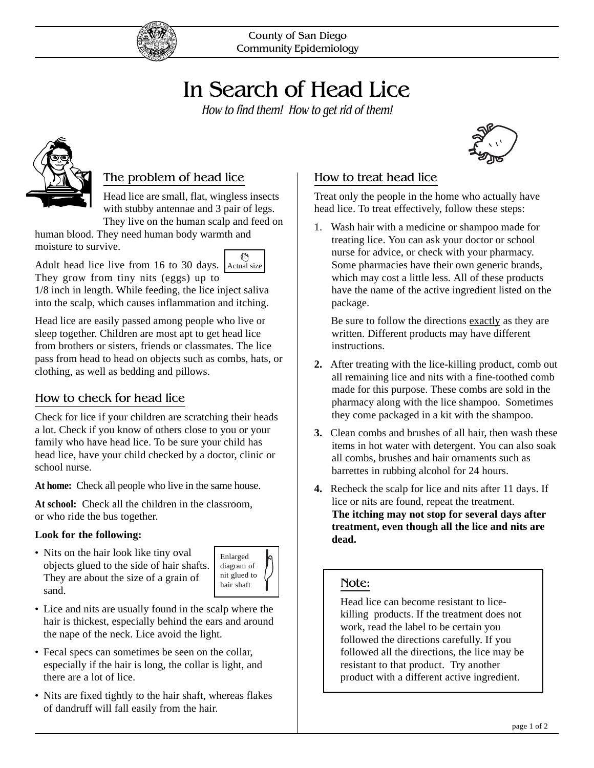

County of San Diego Community Epidemiology

# In Search of Head Lice

How to find them! How to get rid of them!



# The problem of head lice

Head lice are small, flat, wingless insects with stubby antennae and 3 pair of legs. They live on the human scalp and feed on

فللحم

human blood. They need human body warmth and moisture to survive.

Adult head lice live from 16 to 30 days. Actual size

They grow from tiny nits (eggs) up to 1/8 inch in length. While feeding, the lice inject saliva into the scalp, which causes inflammation and itching.

Head lice are easily passed among people who live or sleep together. Children are most apt to get head lice from brothers or sisters, friends or classmates. The lice pass from head to head on objects such as combs, hats, or clothing, as well as bedding and pillows.

#### How to check for head lice

Check for lice if your children are scratching their heads a lot. Check if you know of others close to you or your family who have head lice. To be sure your child has head lice, have your child checked by a doctor, clinic or school nurse.

**At home:** Check all people who live in the same house.

**At school:** Check all the children in the classroom, or who ride the bus together.

#### **Look for the following:**

• Nits on the hair look like tiny oval objects glued to the side of hair shafts. They are about the size of a grain of sand.



- Lice and nits are usually found in the scalp where the hair is thickest, especially behind the ears and around the nape of the neck. Lice avoid the light.
- Fecal specs can sometimes be seen on the collar, especially if the hair is long, the collar is light, and there are a lot of lice.
- Nits are fixed tightly to the hair shaft, whereas flakes of dandruff will fall easily from the hair.



#### How to treat head lice

Treat only the people in the home who actually have head lice. To treat effectively, follow these steps:

1. Wash hair with a medicine or shampoo made for treating lice. You can ask your doctor or school nurse for advice, or check with your pharmacy. Some pharmacies have their own generic brands, which may cost a little less. All of these products have the name of the active ingredient listed on the package.

 Be sure to follow the directions exactly as they are written. Different products may have different instructions.

- **2.** After treating with the lice-killing product, comb out all remaining lice and nits with a fine-toothed comb made for this purpose. These combs are sold in the pharmacy along with the lice shampoo. Sometimes they come packaged in a kit with the shampoo.
- **3.** Clean combs and brushes of all hair, then wash these items in hot water with detergent. You can also soak all combs, brushes and hair ornaments such as barrettes in rubbing alcohol for 24 hours.
- **4.** Recheck the scalp for lice and nits after 11 days. If lice or nits are found, repeat the treatment. **The itching may not stop for several days after treatment, even though all the lice and nits are dead.**

#### Note:

Head lice can become resistant to licekilling products. If the treatment does not work, read the label to be certain you followed the directions carefully. If you followed all the directions, the lice may be resistant to that product. Try another product with a different active ingredient.